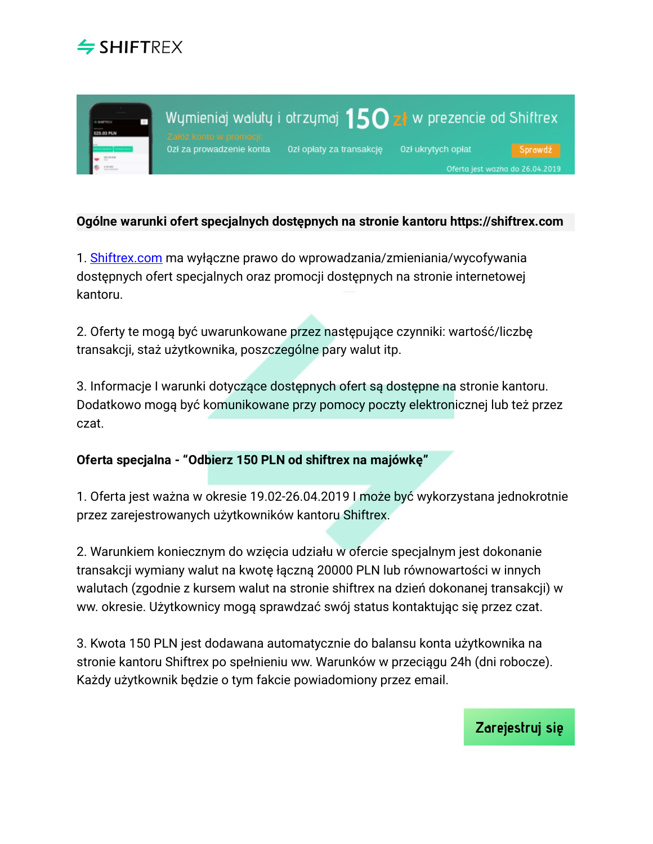



## **Ogólne warunki ofert specjalnych dostępnych na stronie kantoru https://shiftrex.com**

1. [Shiftrex.com](https://shiftrex.com/) ma wyłączne prawo do wprowadzania/zmieniania/wycofywania dostępnych ofert specjalnych oraz promocji dostępnych na stronie internetowej kantoru.

2. Oferty te mogą być uwarunkowane przez następujące czynniki: wartość/liczbę transakcji, staż użytkownika, poszczególne pary walut itp.

3. Informacje I warunki dotyczące dostępnych ofert są dostępne na stronie kantoru. Dodatkowo mogą być komunikowane przy pomocy poczty elektronicznej lub też przez czat.

**Oferta specjalna - "Odbierz 150 PLN od shiftrex na majówkę"**

1. Oferta jest ważna w okresie 19.02-26.04.2019 I może być wykorzystana jednokrotnie przez zarejestrowanych użytkowników kantoru Shiftrex.

2. Warunkiem koniecznym do wzięcia udziału w ofercie specjalnym jest dokonanie transakcji wymiany walut na kwotę łączną 20000 PLN lub równowartości w innych walutach (zgodnie z kursem walut na stronie shiftrex na dzień dokonanej transakcji) w ww. okresie. Użytkownicy mogą sprawdzać swój status kontaktując się przez czat.

3. Kwota 150 PLN jest dodawana automatycznie do balansu konta użytkownika na stronie kantoru Shiftrex po spełnieniu ww. Warunków w przeciągu 24h (dni robocze). Każdy użytkownik będzie o tym fakcie powiadomiony przez email.